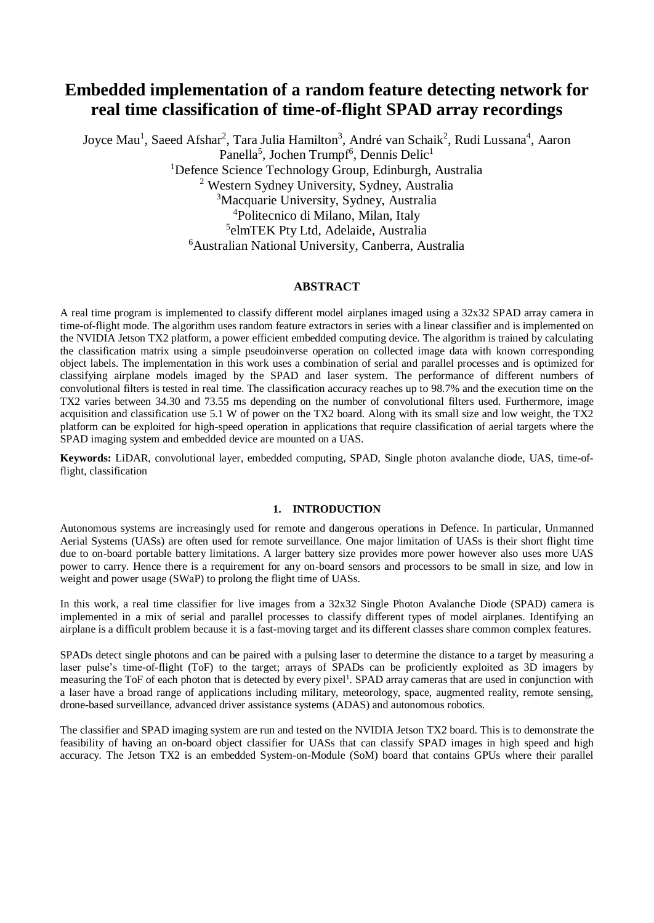# **Embedded implementation of a random feature detecting network for real time classification of time-of-flight SPAD array recordings**

Joyce Mau<sup>1</sup>, Saeed Afshar<sup>2</sup>, Tara Julia Hamilton<sup>3</sup>, André van Schaik<sup>2</sup>, Rudi Lussana<sup>4</sup>, Aaron Panella<sup>5</sup>, Jochen Trumpf<sup>6</sup>, Dennis Delic<sup>1</sup> <sup>1</sup>Defence Science Technology Group, Edinburgh, Australia Western Sydney University, Sydney, Australia Macquarie University, Sydney, Australia Politecnico di Milano, Milan, Italy elmTEK Pty Ltd, Adelaide, Australia Australian National University, Canberra, Australia

# **ABSTRACT**

A real time program is implemented to classify different model airplanes imaged using a 32x32 SPAD array camera in time-of-flight mode. The algorithm uses random feature extractors in series with a linear classifier and is implemented on the NVIDIA Jetson TX2 platform, a power efficient embedded computing device. The algorithm is trained by calculating the classification matrix using a simple pseudoinverse operation on collected image data with known corresponding object labels. The implementation in this work uses a combination of serial and parallel processes and is optimized for classifying airplane models imaged by the SPAD and laser system. The performance of different numbers of convolutional filters is tested in real time. The classification accuracy reaches up to 98.7% and the execution time on the TX2 varies between 34.30 and 73.55 ms depending on the number of convolutional filters used. Furthermore, image acquisition and classification use 5.1 W of power on the TX2 board. Along with its small size and low weight, the TX2 platform can be exploited for high-speed operation in applications that require classification of aerial targets where the SPAD imaging system and embedded device are mounted on a UAS.

**Keywords:** LiDAR, convolutional layer, embedded computing, SPAD, Single photon avalanche diode, UAS, time-offlight, classification

# **1. INTRODUCTION**

Autonomous systems are increasingly used for remote and dangerous operations in Defence. In particular, Unmanned Aerial Systems (UASs) are often used for remote surveillance. One major limitation of UASs is their short flight time due to on-board portable battery limitations. A larger battery size provides more power however also uses more UAS power to carry. Hence there is a requirement for any on-board sensors and processors to be small in size, and low in weight and power usage (SWaP) to prolong the flight time of UASs.

In this work, a real time classifier for live images from a 32x32 Single Photon Avalanche Diode (SPAD) camera is implemented in a mix of serial and parallel processes to classify different types of model airplanes. Identifying an airplane is a difficult problem because it is a fast-moving target and its different classes share common complex features.

SPADs detect single photons and can be paired with a pulsing laser to determine the distance to a target by measuring a laser pulse's time-of-flight (ToF) to the target; arrays of SPADs can be proficiently exploited as 3D imagers by measuring the ToF of each photon that is detected by every pixel<sup>1</sup>. SPAD array cameras that are used in conjunction with a laser have a broad range of applications including military, meteorology, space, augmented reality, remote sensing, drone-based surveillance, advanced driver assistance systems (ADAS) and autonomous robotics.

The classifier and SPAD imaging system are run and tested on the NVIDIA Jetson TX2 board. This is to demonstrate the feasibility of having an on-board object classifier for UASs that can classify SPAD images in high speed and high accuracy. The Jetson TX2 is an embedded System-on-Module (SoM) board that contains GPUs where their parallel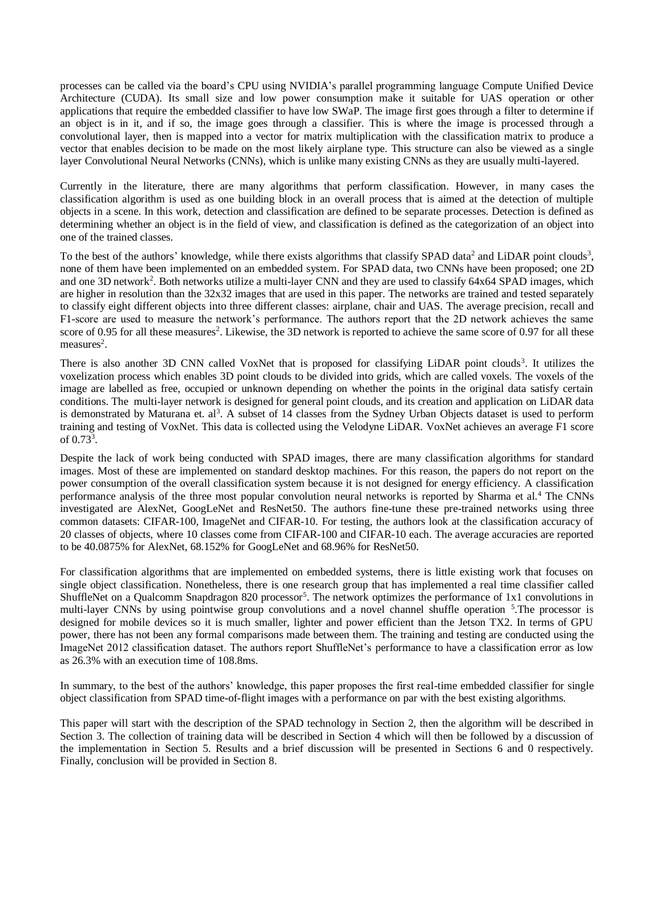<span id="page-1-0"></span>processes can be called via the board's CPU using NVIDIA's parallel programming language Compute Unified Device Architecture (CUDA). Its small size and low power consumption make it suitable for UAS operation or other applications that require the embedded classifier to have low SWaP. The image first goes through a filter to determine if an object is in it, and if so, the image goes through a classifier. This is where the image is processed through a convolutional layer, then is mapped into a vector for matrix multiplication with the classification matrix to produce a vector that enables decision to be made on the most likely airplane type. This structure can also be viewed as a single layer Convolutional Neural Networks (CNNs), which is unlike many existing CNNs as they are usually multi-layered.

Currently in the literature, there are many algorithms that perform classification. However, in many cases the classification algorithm is used as one building block in an overall process that is aimed at the detection of multiple objects in a scene. In this work, detection and classification are defined to be separate processes. Detection is defined as determining whether an object is in the field of view, and classification is defined as the categorization of an object into one of the trained classes.

To the best of the authors' knowledge, while there exists algorithms that classify SPAD data<sup>2</sup> and LiDAR point clouds<sup>3</sup>, none of them have been implemented on an embedded system. For SPAD data, two CNNs have been proposed; one 2D and one 3D network<sup>2</sup>. Both networks utilize a multi-layer CNN and they are used to classify 64x64 SPAD images, which are higher in resolution than the 32x32 images that are used in this paper. The networks are trained and tested separately to classify eight different objects into three different classes: airplane, chair and UAS. The average precision, recall and F1-score are used to measure the network's performance. The authors report that the 2D network achieves the same score of 0.95 for all these measures<sup>2</sup>. Likewise, the 3D network is reported to achieve the same score of 0.97 for all these measures<sup>2</sup>.

There is also another 3D CNN called VoxNet that is proposed for classifying LiDAR point clouds<sup>3</sup>. It utilizes the voxelization process which enables 3D point clouds to be divided into grids, which are called voxels. The voxels of the image are labelled as free, occupied or unknown depending on whether the points in the original data satisfy certain conditions. The multi-layer network is designed for general point clouds, and its creation and application on LiDAR data is demonstrated by Maturana et. al<sup>3</sup>. A subset of 14 classes from the Sydney Urban Objects dataset is used to perform training and testing of VoxNet. This data is collected using the Velodyne LiDAR. VoxNet achieves an average F1 score of  $0.73^3$ .

Despite the lack of work being conducted with SPAD images, there are many classification algorithms for standard images. Most of these are implemented on standard desktop machines. For this reason, the papers do not report on the power consumption of the overall classification system because it is not designed for energy efficiency. A classification performance analysis of the three most popular convolution neural networks is reported by Sharma et al.<sup>4</sup> The CNNs investigated are AlexNet, GoogLeNet and ResNet50. The authors fine-tune these pre-trained networks using three common datasets: CIFAR-100, ImageNet and CIFAR-10. For testing, the authors look at the classification accuracy of 20 classes of objects, where 10 classes come from CIFAR-100 and CIFAR-10 each. The average accuracies are reported to be 40.0875% for AlexNet, 68.152% for GoogLeNet and 68.96% for ResNet50.

For classification algorithms that are implemented on embedded systems, there is little existing work that focuses on single object classification. Nonetheless, there is one research group that has implemented a real time classifier called ShuffleNet on a Qualcomm Snapdragon 820 processor<sup>5</sup>. The network optimizes the performance of 1x1 convolutions in multi-layer CNNs by using pointwise group convolutions and a novel channel shuffle operation <sup>5</sup>. The processor is designed for mobile devices so it is much smaller, lighter and power efficient than the Jetson TX2. In terms of GPU power, there has not been any formal comparisons made between them. The training and testing are conducted using the ImageNet 2012 classification dataset. The authors report ShuffleNet's performance to have a classification error as low as 26.3% with an execution time of 108.8ms.

In summary, to the best of the authors' knowledge, this paper proposes the first real-time embedded classifier for single object classification from SPAD time-of-flight images with a performance on par with the best existing algorithms.

This paper will start with the description of the SPAD technology in Section [2,](#page-1-0) then the algorithm will be described in Section [3.](#page-2-0) The collection of training data will be described in Section [4](#page-4-0) which will then be followed by a discussion of the implementation in Section [5.](#page-5-0) Results and a brief discussion will be presented in Sections [6](#page-6-0) and [0](#page-9-0) respectively. Finally, conclusion will be provided in Sectio[n 8.](#page-11-0)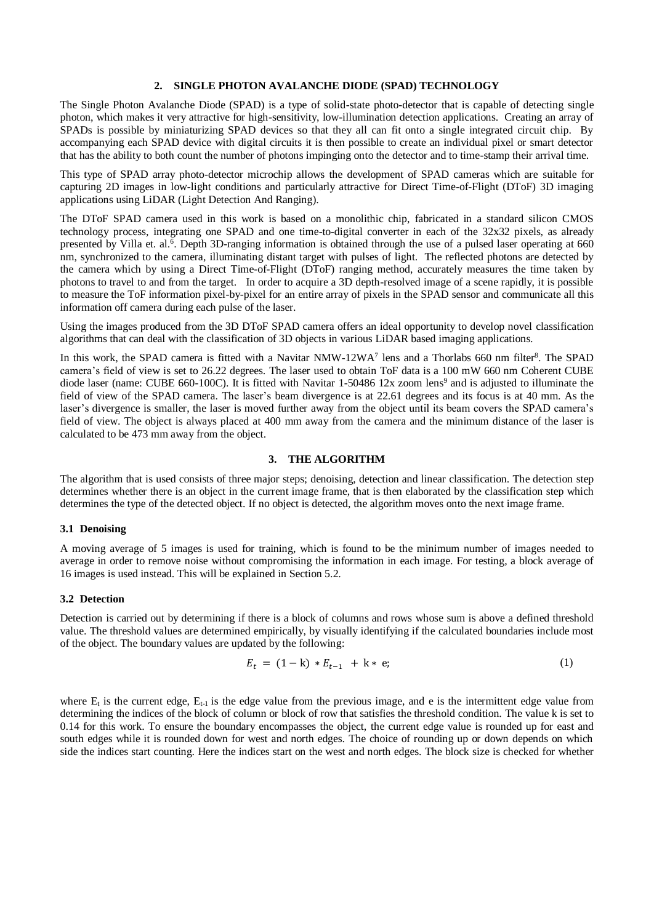#### **2. SINGLE PHOTON AVALANCHE DIODE (SPAD) TECHNOLOGY**

The Single Photon Avalanche Diode (SPAD) is a type of solid-state photo-detector that is capable of detecting single photon, which makes it very attractive for high-sensitivity, low-illumination detection applications. Creating an array of SPADs is possible by miniaturizing SPAD devices so that they all can fit onto a single integrated circuit chip. By accompanying each SPAD device with digital circuits it is then possible to create an individual pixel or smart detector that has the ability to both count the number of photons impinging onto the detector and to time-stamp their arrival time.

This type of SPAD array photo-detector microchip allows the development of SPAD cameras which are suitable for capturing 2D images in low-light conditions and particularly attractive for Direct Time-of-Flight (DToF) 3D imaging applications using LiDAR (Light Detection And Ranging).

The DToF SPAD camera used in this work is based on a monolithic chip, fabricated in a standard silicon CMOS technology process, integrating one SPAD and one time-to-digital converter in each of the 32x32 pixels, as already presented by Villa et. al.<sup>6</sup>. Depth 3D-ranging information is obtained through the use of a pulsed laser operating at 660 nm, synchronized to the camera, illuminating distant target with pulses of light. The reflected photons are detected by the camera which by using a Direct Time-of-Flight (DToF) ranging method, accurately measures the time taken by photons to travel to and from the target. In order to acquire a 3D depth-resolved image of a scene rapidly, it is possible to measure the ToF information pixel-by-pixel for an entire array of pixels in the SPAD sensor and communicate all this information off camera during each pulse of the laser.

Using the images produced from the 3D DToF SPAD camera offers an ideal opportunity to develop novel classification algorithms that can deal with the classification of 3D objects in various LiDAR based imaging applications.

In this work, the SPAD camera is fitted with a Navitar NMW-12WA<sup>7</sup> lens and a Thorlabs 660 nm filter<sup>8</sup>. The SPAD camera's field of view is set to 26.22 degrees. The laser used to obtain ToF data is a 100 mW 660 nm Coherent CUBE diode laser (name: CUBE 660-100C). It is fitted with Navitar 1-50486 12x zoom lens<sup>9</sup> and is adjusted to illuminate the field of view of the SPAD camera. The laser's beam divergence is at 22.61 degrees and its focus is at 40 mm. As the laser's divergence is smaller, the laser is moved further away from the object until its beam covers the SPAD camera's field of view. The object is always placed at 400 mm away from the camera and the minimum distance of the laser is calculated to be 473 mm away from the object.

## **3. THE ALGORITHM**

<span id="page-2-0"></span>The algorithm that is used consists of three major steps; denoising, detection and linear classification. The detection step determines whether there is an object in the current image frame, that is then elaborated by the classification step which determines the type of the detected object. If no object is detected, the algorithm moves onto the next image frame.

#### <span id="page-2-2"></span>**3.1 Denoising**

A moving average of 5 images is used for training, which is found to be the minimum number of images needed to average in order to remove noise without compromising the information in each image. For testing, a block average of 16 images is used instead. This will be explained in Section [5.2.](#page-6-1)

## <span id="page-2-1"></span>**3.2 Detection**

Detection is carried out by determining if there is a block of columns and rows whose sum is above a defined threshold value. The threshold values are determined empirically, by visually identifying if the calculated boundaries include most of the object. The boundary values are updated by the following:

$$
E_t = (1 - k) * E_{t-1} + k * e; \tag{1}
$$

where  $E_t$  is the current edge,  $E_{t-1}$  is the edge value from the previous image, and e is the intermittent edge value from determining the indices of the block of column or block of row that satisfies the threshold condition. The value k is set to 0.14 for this work. To ensure the boundary encompasses the object, the current edge value is rounded up for east and south edges while it is rounded down for west and north edges. The choice of rounding up or down depends on which side the indices start counting. Here the indices start on the west and north edges. The block size is checked for whether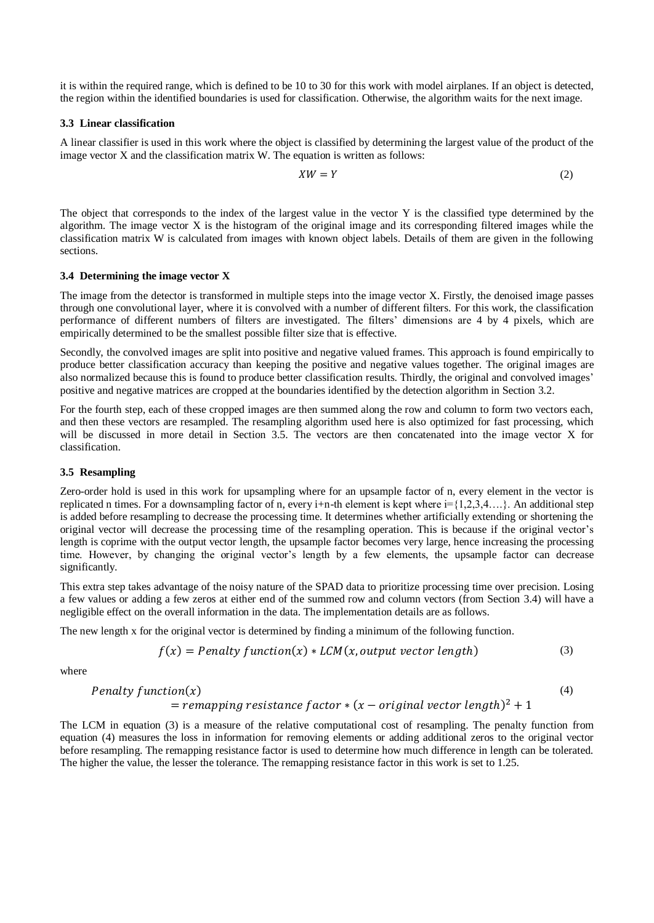it is within the required range, which is defined to be 10 to 30 for this work with model airplanes. If an object is detected, the region within the identified boundaries is used for classification. Otherwise, the algorithm waits for the next image.

#### **3.3 Linear classification**

A linear classifier is used in this work where the object is classified by determining the largest value of the product of the image vector X and the classification matrix W. The equation is written as follows:

$$
XW = Y \tag{2}
$$

The object that corresponds to the index of the largest value in the vector Y is the classified type determined by the algorithm. The image vector X is the histogram of the original image and its corresponding filtered images while the classification matrix W is calculated from images with known object labels. Details of them are given in the following sections.

#### <span id="page-3-1"></span>**3.4 Determining the image vector X**

The image from the detector is transformed in multiple steps into the image vector X. Firstly, the denoised image passes through one convolutional layer, where it is convolved with a number of different filters. For this work, the classification performance of different numbers of filters are investigated. The filters' dimensions are 4 by 4 pixels, which are empirically determined to be the smallest possible filter size that is effective.

Secondly, the convolved images are split into positive and negative valued frames. This approach is found empirically to produce better classification accuracy than keeping the positive and negative values together. The original images are also normalized because this is found to produce better classification results. Thirdly, the original and convolved images' positive and negative matrices are cropped at the boundaries identified by the detection algorithm in Section [3.2.](#page-2-1)

For the fourth step, each of these cropped images are then summed along the row and column to form two vectors each, and then these vectors are resampled. The resampling algorithm used here is also optimized for fast processing, which will be discussed in more detail in Section [3.5.](#page-3-0) The vectors are then concatenated into the image vector X for classification.

## <span id="page-3-0"></span>**3.5 Resampling**

Zero-order hold is used in this work for upsampling where for an upsample factor of n, every element in the vector is replicated n times. For a downsampling factor of n, every i+n-th element is kept where  $i = \{1,2,3,4,...\}$ . An additional step is added before resampling to decrease the processing time. It determines whether artificially extending or shortening the original vector will decrease the processing time of the resampling operation. This is because if the original vector's length is coprime with the output vector length, the upsample factor becomes very large, hence increasing the processing time. However, by changing the original vector's length by a few elements, the upsample factor can decrease significantly.

This extra step takes advantage of the noisy nature of the SPAD data to prioritize processing time over precision. Losing a few values or adding a few zeros at either end of the summed row and column vectors (from Section [3.4\)](#page-3-1) will have a negligible effect on the overall information in the data. The implementation details are as follows.

The new length x for the original vector is determined by finding a minimum of the following function.

$$
f(x) = Penalty function(x) * LCM(x, output vector length)
$$
\n(3)

where

$$
Penalty function(x) = remapping resistance factor * (x - original vector length)^2 + 1
$$
\n(4)

The LCM in equation (3) is a measure of the relative computational cost of resampling. The penalty function from equation (4) measures the loss in information for removing elements or adding additional zeros to the original vector before resampling. The remapping resistance factor is used to determine how much difference in length can be tolerated. The higher the value, the lesser the tolerance. The remapping resistance factor in this work is set to 1.25.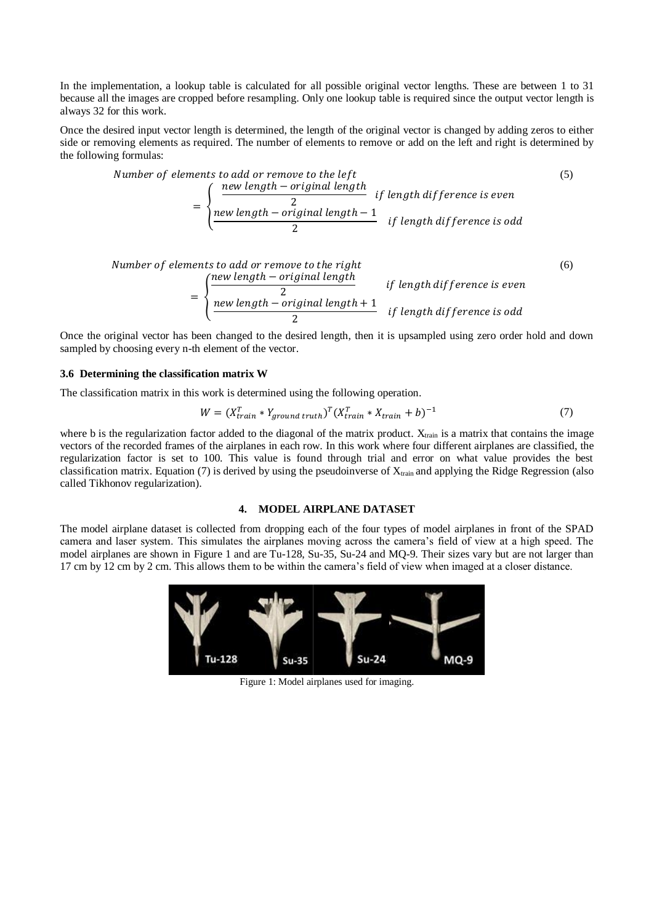In the implementation, a lookup table is calculated for all possible original vector lengths. These are between 1 to 31 because all the images are cropped before resampling. Only one lookup table is required since the output vector length is always 32 for this work.

Once the desired input vector length is determined, the length of the original vector is changed by adding zeros to either side or removing elements as required. The number of elements to remove or add on the left and right is determined by the following formulas:

Number of elements to add or remove to the left  
\n
$$
= \begin{cases}\n\frac{new \text{ length} - original \text{ length}}{2} & \text{if length difference is even} \\
\frac{new \text{ length} - original \text{ length} - 1}{2} & \text{if length difference is odd}\n\end{cases}
$$
\n(5)

Number of elements to add or remove to the right  
\n
$$
= \begin{cases}\n\frac{new length - original length}{2} & \text{if length difference is even} \\
\frac{new length - original length + 1}{2} & \text{if length difference is odd}\n\end{cases}
$$
\n(6)

Once the original vector has been changed to the desired length, then it is upsampled using zero order hold and down sampled by choosing every n-th element of the vector.

#### **3.6 Determining the classification matrix W**

The classification matrix in this work is determined using the following operation.

$$
W = (X_{train}^T * Y_{ground\ truth})^T (X_{train}^T * X_{train} + b)^{-1}
$$
\n
$$
(7)
$$

where b is the regularization factor added to the diagonal of the matrix product.  $X<sub>train</sub>$  is a matrix that contains the image vectors of the recorded frames of the airplanes in each row. In this work where four different airplanes are classified, the regularization factor is set to 100. This value is found through trial and error on what value provides the best classification matrix. Equation (7) is derived by using the pseudoinverse of  $X_{train}$  and applying the Ridge Regression (also called Tikhonov regularization).

# **4. MODEL AIRPLANE DATASET**

<span id="page-4-0"></span>The model airplane dataset is collected from dropping each of the four types of model airplanes in front of the SPAD camera and laser system. This simulates the airplanes moving across the camera's field of view at a high speed. The model airplanes are shown in [Figure 1](#page-4-1) and are Tu-128, Su-35, Su-24 and MQ-9. Their sizes vary but are not larger than 17 cm by 12 cm by 2 cm. This allows them to be within the camera's field of view when imaged at a closer distance.

<span id="page-4-1"></span>

Figure 1: Model airplanes used for imaging.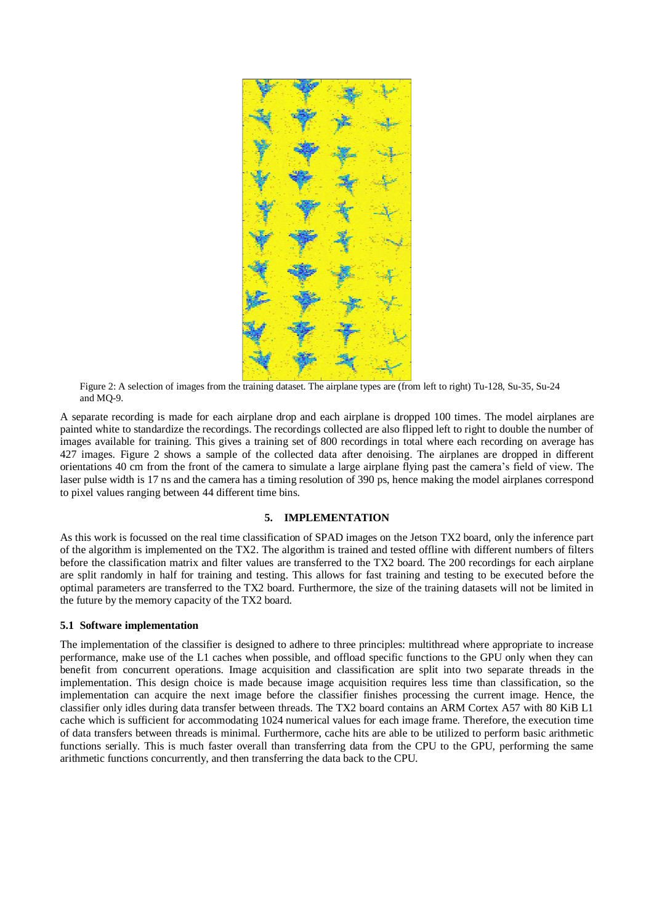

Figure 2: A selection of images from the training dataset. The airplane types are (from left to right) Tu-128, Su-35, Su-24 and MQ-9.

<span id="page-5-1"></span>A separate recording is made for each airplane drop and each airplane is dropped 100 times. The model airplanes are painted white to standardize the recordings. The recordings collected are also flipped left to right to double the number of images available for training. This gives a training set of 800 recordings in total where each recording on average has 427 images. [Figure 2](#page-5-1) shows a sample of the collected data after denoising. The airplanes are dropped in different orientations 40 cm from the front of the camera to simulate a large airplane flying past the camera's field of view. The laser pulse width is 17 ns and the camera has a timing resolution of 390 ps, hence making the model airplanes correspond to pixel values ranging between 44 different time bins.

# **5. IMPLEMENTATION**

<span id="page-5-0"></span>As this work is focussed on the real time classification of SPAD images on the Jetson TX2 board, only the inference part of the algorithm is implemented on the TX2. The algorithm is trained and tested offline with different numbers of filters before the classification matrix and filter values are transferred to the TX2 board. The 200 recordings for each airplane are split randomly in half for training and testing. This allows for fast training and testing to be executed before the optimal parameters are transferred to the TX2 board. Furthermore, the size of the training datasets will not be limited in the future by the memory capacity of the TX2 board.

#### <span id="page-5-2"></span>**5.1 Software implementation**

The implementation of the classifier is designed to adhere to three principles: multithread where appropriate to increase performance, make use of the L1 caches when possible, and offload specific functions to the GPU only when they can benefit from concurrent operations. Image acquisition and classification are split into two separate threads in the implementation. This design choice is made because image acquisition requires less time than classification, so the implementation can acquire the next image before the classifier finishes processing the current image. Hence, the classifier only idles during data transfer between threads. The TX2 board contains an ARM Cortex A57 with 80 KiB L1 cache which is sufficient for accommodating 1024 numerical values for each image frame. Therefore, the execution time of data transfers between threads is minimal. Furthermore, cache hits are able to be utilized to perform basic arithmetic functions serially. This is much faster overall than transferring data from the CPU to the GPU, performing the same arithmetic functions concurrently, and then transferring the data back to the CPU.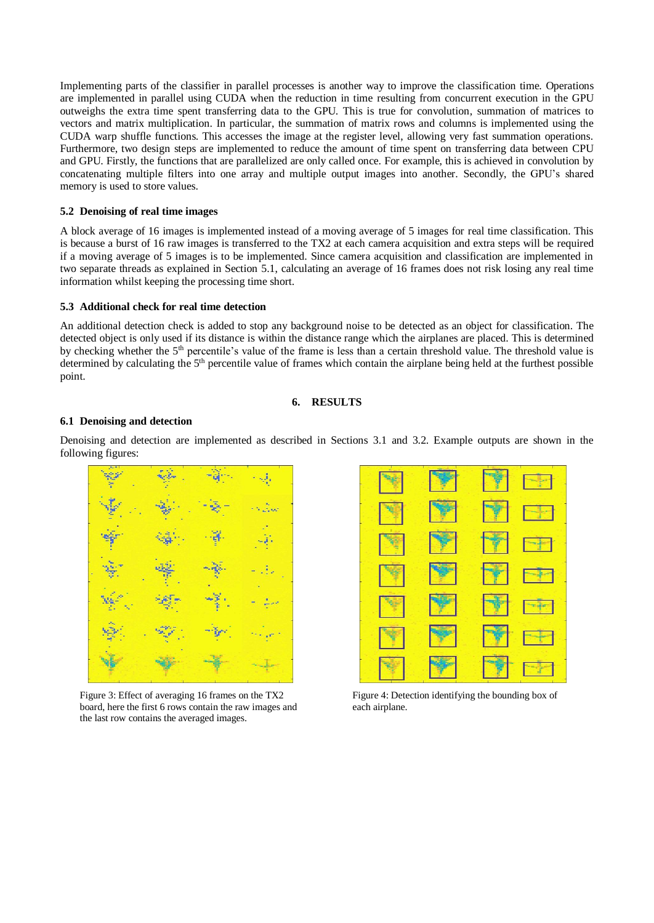Implementing parts of the classifier in parallel processes is another way to improve the classification time. Operations are implemented in parallel using CUDA when the reduction in time resulting from concurrent execution in the GPU outweighs the extra time spent transferring data to the GPU. This is true for convolution, summation of matrices to vectors and matrix multiplication. In particular, the summation of matrix rows and columns is implemented using the CUDA warp shuffle functions. This accesses the image at the register level, allowing very fast summation operations. Furthermore, two design steps are implemented to reduce the amount of time spent on transferring data between CPU and GPU. Firstly, the functions that are parallelized are only called once. For example, this is achieved in convolution by concatenating multiple filters into one array and multiple output images into another. Secondly, the GPU's shared memory is used to store values.

#### <span id="page-6-1"></span>**5.2 Denoising of real time images**

A block average of 16 images is implemented instead of a moving average of 5 images for real time classification. This is because a burst of 16 raw images is transferred to the TX2 at each camera acquisition and extra steps will be required if a moving average of 5 images is to be implemented. Since camera acquisition and classification are implemented in two separate threads as explained in Section [5.1,](#page-5-2) calculating an average of 16 frames does not risk losing any real time information whilst keeping the processing time short.

## **5.3 Additional check for real time detection**

An additional detection check is added to stop any background noise to be detected as an object for classification. The detected object is only used if its distance is within the distance range which the airplanes are placed. This is determined by checking whether the  $5<sup>th</sup>$  percentile's value of the frame is less than a certain threshold value. The threshold value is determined by calculating the 5<sup>th</sup> percentile value of frames which contain the airplane being held at the furthest possible point.

#### **6. RESULTS**

#### <span id="page-6-0"></span>**6.1 Denoising and detection**

Denoising and detection are implemented as described in Sections [3.1](#page-2-2) and [3.2.](#page-2-1) Example outputs are shown in the following figures:



<span id="page-6-2"></span>Figure 3: Effect of averaging 16 frames on the TX2 board, here the first 6 rows contain the raw images and the last row contains the averaged images.



<span id="page-6-3"></span>Figure 4: Detection identifying the bounding box of each airplane.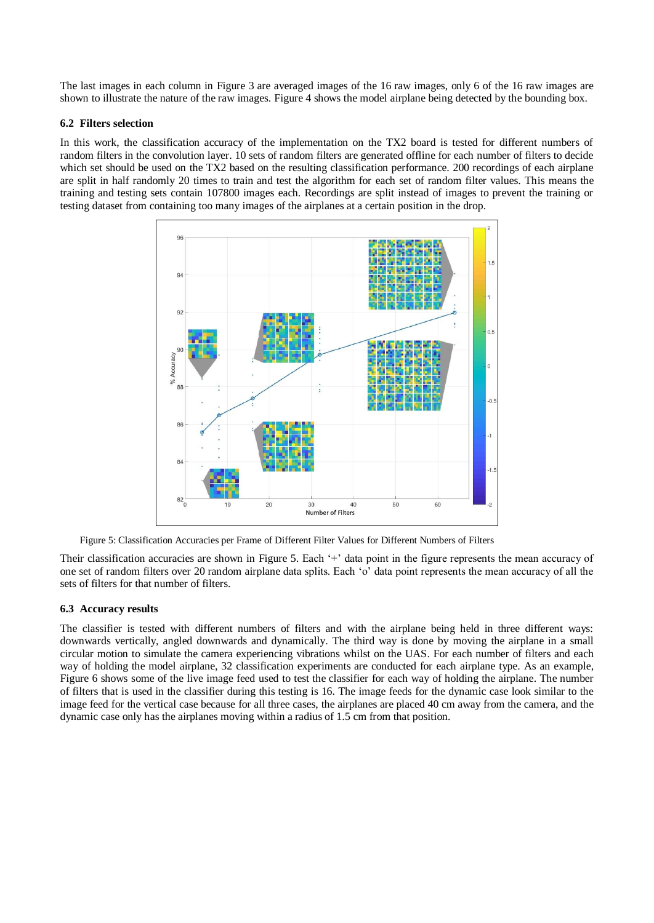The last images in each column in [Figure 3](#page-6-2) are averaged images of the 16 raw images, only 6 of the 16 raw images are shown to illustrate the nature of the raw images[. Figure 4](#page-6-3) shows the model airplane being detected by the bounding box.

## **6.2 Filters selection**

In this work, the classification accuracy of the implementation on the TX2 board is tested for different numbers of random filters in the convolution layer. 10 sets of random filters are generated offline for each number of filters to decide which set should be used on the TX2 based on the resulting classification performance. 200 recordings of each airplane are split in half randomly 20 times to train and test the algorithm for each set of random filter values. This means the training and testing sets contain 107800 images each. Recordings are split instead of images to prevent the training or testing dataset from containing too many images of the airplanes at a certain position in the drop.



Figure 5: Classification Accuracies per Frame of Different Filter Values for Different Numbers of Filters

<span id="page-7-0"></span>Their classification accuracies are shown in [Figure 5.](#page-7-0) Each '+' data point in the figure represents the mean accuracy of one set of random filters over 20 random airplane data splits. Each 'o' data point represents the mean accuracy of all the sets of filters for that number of filters.

# **6.3 Accuracy results**

The classifier is tested with different numbers of filters and with the airplane being held in three different ways: downwards vertically, angled downwards and dynamically. The third way is done by moving the airplane in a small circular motion to simulate the camera experiencing vibrations whilst on the UAS. For each number of filters and each way of holding the model airplane, 32 classification experiments are conducted for each airplane type. As an example, [Figure 6](#page-8-0) shows some of the live image feed used to test the classifier for each way of holding the airplane. The number of filters that is used in the classifier during this testing is 16. The image feeds for the dynamic case look similar to the image feed for the vertical case because for all three cases, the airplanes are placed 40 cm away from the camera, and the dynamic case only has the airplanes moving within a radius of 1.5 cm from that position.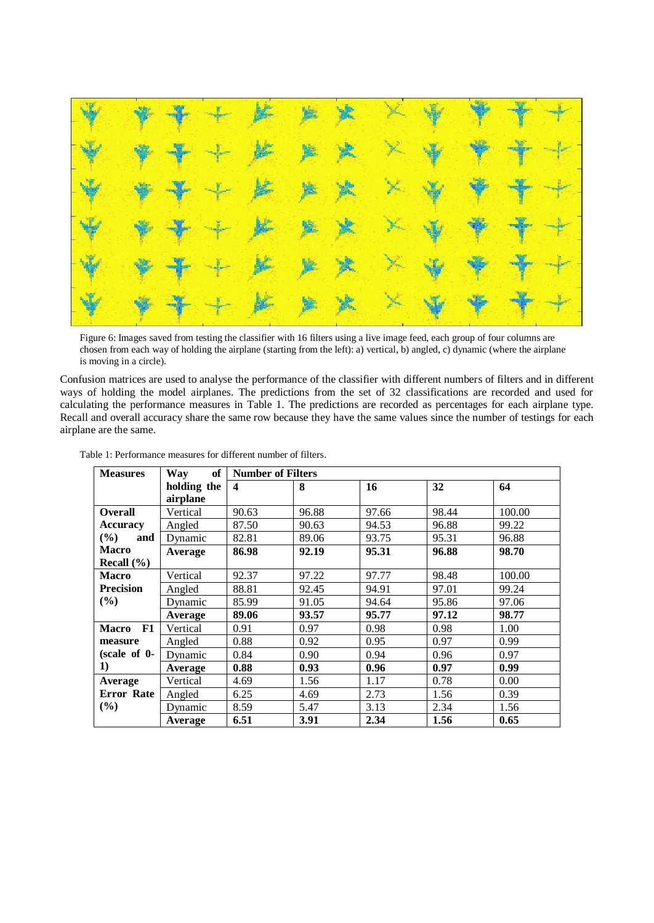

<span id="page-8-0"></span>Figure 6: Images saved from testing the classifier with 16 filters using a live image feed, each group of four columns are chosen from each way of holding the airplane (starting from the left): a) vertical, b) angled, c) dynamic (where the airplane is moving in a circle).

Confusion matrices are used to analyse the performance of the classifier with different numbers of filters and in different ways of holding the model airplanes. The predictions from the set of 32 classifications are recorded and used for calculating the performance measures in [Table 1.](#page-8-1) The predictions are recorded as percentages for each airplane type. Recall and overall accuracy share the same row because they have the same values since the number of testings for each airplane are the same.

| <b>Measures</b>    | of<br>Way   | <b>Number of Filters</b> |       |           |       |        |
|--------------------|-------------|--------------------------|-------|-----------|-------|--------|
|                    | holding the | $\boldsymbol{4}$         | 8     | <b>16</b> | 32    | 64     |
|                    | airplane    |                          |       |           |       |        |
| <b>Overall</b>     | Vertical    | 90.63                    | 96.88 | 97.66     | 98.44 | 100.00 |
| <b>Accuracy</b>    | Angled      | 87.50                    | 90.63 | 94.53     | 96.88 | 99.22  |
| $(\%)$<br>and      | Dynamic     | 82.81                    | 89.06 | 93.75     | 95.31 | 96.88  |
| <b>Macro</b>       | Average     | 86.98                    | 92.19 | 95.31     | 96.88 | 98.70  |
| Recall $(\% )$     |             |                          |       |           |       |        |
| <b>Macro</b>       | Vertical    | 92.37                    | 97.22 | 97.77     | 98.48 | 100.00 |
| <b>Precision</b>   | Angled      | 88.81                    | 92.45 | 94.91     | 97.01 | 99.24  |
| $(\%)$             | Dynamic     | 85.99                    | 91.05 | 94.64     | 95.86 | 97.06  |
|                    | Average     | 89.06                    | 93.57 | 95.77     | 97.12 | 98.77  |
| F1<br><b>Macro</b> | Vertical    | 0.91                     | 0.97  | 0.98      | 0.98  | 1.00   |
| measure            | Angled      | 0.88                     | 0.92  | 0.95      | 0.97  | 0.99   |
| $(scale of 0-)$    | Dynamic     | 0.84                     | 0.90  | 0.94      | 0.96  | 0.97   |
| 1)                 | Average     | 0.88                     | 0.93  | 0.96      | 0.97  | 0.99   |
| Average            | Vertical    | 4.69                     | 1.56  | 1.17      | 0.78  | 0.00   |
| Error Rate         | Angled      | 6.25                     | 4.69  | 2.73      | 1.56  | 0.39   |
| (%)                | Dynamic     | 8.59                     | 5.47  | 3.13      | 2.34  | 1.56   |
|                    | Average     | 6.51                     | 3.91  | 2.34      | 1.56  | 0.65   |

<span id="page-8-1"></span>Table 1: Performance measures for different number of filters.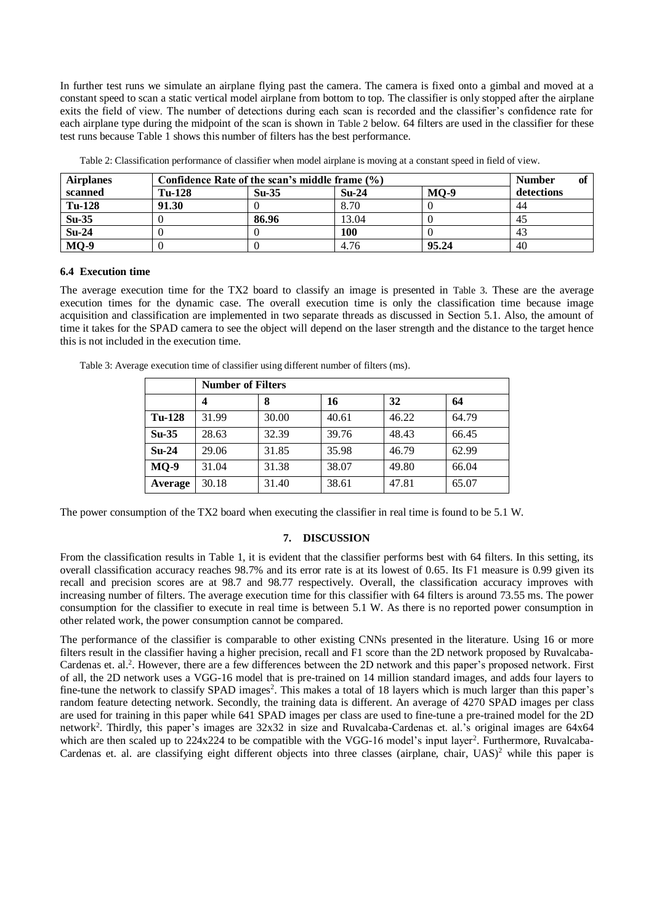In further test runs we simulate an airplane flying past the camera. The camera is fixed onto a gimbal and moved at a constant speed to scan a static vertical model airplane from bottom to top. The classifier is only stopped after the airplane exits the field of view. The number of detections during each scan is recorded and the classifier's confidence rate for each airplane type during the midpoint of the scan is shown in [Table 2](#page-9-1) below. 64 filters are used in the classifier for these test runs because [Table 1](#page-8-1) shows this number of filters has the best performance.

<span id="page-9-1"></span>

| <b>Airplanes</b>   | Confidence Rate of the scan's middle frame (%) |         |         |        | <b>Number</b> |
|--------------------|------------------------------------------------|---------|---------|--------|---------------|
| scanned            | <b>Tu-128</b>                                  | $Su-35$ | $Su-24$ | $MO-9$ | detections    |
| Tu-128             | 91.30                                          |         | 8.70    |        | 44            |
| $\overline{Su-35}$ |                                                | 86.96   | 13.04   |        | 45            |
| $Su-24$            |                                                |         | 100     |        | 43            |
| $MQ-9$             |                                                |         | 4.76    | 95.24  | 40            |

Table 2: Classification performance of classifier when model airplane is moving at a constant speed in field of view.

#### **6.4 Execution time**

The average execution time for the TX2 board to classify an image is presented in [Table 3](#page-9-2). These are the average execution times for the dynamic case. The overall execution time is only the classification time because image acquisition and classification are implemented in two separate threads as discussed in Section [5.1.](#page-5-2) Also, the amount of time it takes for the SPAD camera to see the object will depend on the laser strength and the distance to the target hence this is not included in the execution time.

<span id="page-9-2"></span>

| Table 3: Average execution time of classifier using different number of filters (ms). |  |  |
|---------------------------------------------------------------------------------------|--|--|
|---------------------------------------------------------------------------------------|--|--|

|               | <b>Number of Filters</b> |       |       |       |       |
|---------------|--------------------------|-------|-------|-------|-------|
|               |                          | 8     | 16    | 32    | 64    |
| <b>Tu-128</b> | 31.99                    | 30.00 | 40.61 | 46.22 | 64.79 |
| $Su-35$       | 28.63                    | 32.39 | 39.76 | 48.43 | 66.45 |
| $Su-24$       | 29.06                    | 31.85 | 35.98 | 46.79 | 62.99 |
| $MO-9$        | 31.04                    | 31.38 | 38.07 | 49.80 | 66.04 |
| Average       | 30.18                    | 31.40 | 38.61 | 47.81 | 65.07 |

<span id="page-9-0"></span>The power consumption of the TX2 board when executing the classifier in real time is found to be 5.1 W.

# **7. DISCUSSION**

From the classification results in [Table 1,](#page-8-1) it is evident that the classifier performs best with 64 filters. In this setting, its overall classification accuracy reaches 98.7% and its error rate is at its lowest of 0.65. Its F1 measure is 0.99 given its recall and precision scores are at 98.7 and 98.77 respectively. Overall, the classification accuracy improves with increasing number of filters. The average execution time for this classifier with 64 filters is around 73.55 ms. The power consumption for the classifier to execute in real time is between 5.1 W. As there is no reported power consumption in other related work, the power consumption cannot be compared.

The performance of the classifier is comparable to other existing CNNs presented in the literature. Using 16 or more filters result in the classifier having a higher precision, recall and F1 score than the 2D network proposed by Ruvalcaba-Cardenas et. al.<sup>2</sup>. However, there are a few differences between the 2D network and this paper's proposed network. First of all, the 2D network uses a VGG-16 model that is pre-trained on 14 million standard images, and adds four layers to fine-tune the network to classify SPAD images<sup>2</sup>. This makes a total of 18 layers which is much larger than this paper's random feature detecting network. Secondly, the training data is different. An average of 4270 SPAD images per class are used for training in this paper while 641 SPAD images per class are used to fine-tune a pre-trained model for the 2D network<sup>2</sup> . Thirdly, this paper's images are 32x32 in size and Ruvalcaba-Cardenas et. al.'s original images are 64x64 which are then scaled up to 224x224 to be compatible with the VGG-16 model's input layer<sup>2</sup>. Furthermore, Ruvalcaba-Cardenas et. al. are classifying eight different objects into three classes (airplane, chair,  $UAS$ )<sup>2</sup> while this paper is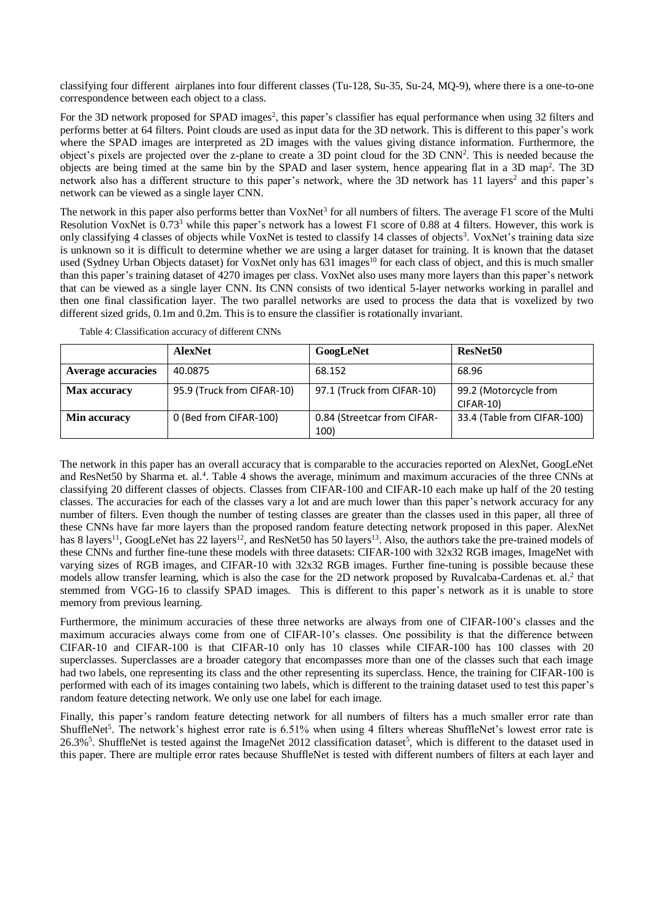classifying four different airplanes into four different classes (Tu-128, Su-35, Su-24, MQ-9), where there is a one-to-one correspondence between each object to a class.

For the 3D network proposed for SPAD images<sup>2</sup>, this paper's classifier has equal performance when using 32 filters and performs better at 64 filters. Point clouds are used as input data for the 3D network. This is different to this paper's work where the SPAD images are interpreted as 2D images with the values giving distance information. Furthermore, the object's pixels are projected over the z-plane to create a 3D point cloud for the 3D CNN<sup>2</sup>. This is needed because the objects are being timed at the same bin by the SPAD and laser system, hence appearing flat in a 3D map<sup>2</sup> . The 3D network also has a different structure to this paper's network, where the 3D network has 11 layers<sup>2</sup> and this paper's network can be viewed as a single layer CNN.

The network in this paper also performs better than  $VoxNet<sup>3</sup>$  for all numbers of filters. The average  $F1$  score of the Multi Resolution VoxNet is  $0.73<sup>3</sup>$  while this paper's network has a lowest F1 score of 0.88 at 4 filters. However, this work is only classifying 4 classes of objects while VoxNet is tested to classify 14 classes of objects<sup>3</sup>. VoxNet's training data size is unknown so it is difficult to determine whether we are using a larger dataset for training. It is known that the dataset used (Sydney Urban Objects dataset) for VoxNet only has 631 images<sup>10</sup> for each class of object, and this is much smaller than this paper's training dataset of 4270 images per class. VoxNet also uses many more layers than this paper's network that can be viewed as a single layer CNN. Its CNN consists of two identical 5-layer networks working in parallel and then one final classification layer. The two parallel networks are used to process the data that is voxelized by two different sized grids, 0.1m and 0.2m. This is to ensure the classifier is rotationally invariant.

<span id="page-10-0"></span>

|                     | <b>AlexNet</b>             | GoogLeNet                           | ResNet <sub>50</sub>                      |
|---------------------|----------------------------|-------------------------------------|-------------------------------------------|
| Average accuracies  | 40.0875                    | 68.152                              | 68.96                                     |
| <b>Max accuracy</b> | 95.9 (Truck from CIFAR-10) | 97.1 (Truck from CIFAR-10)          | 99.2 (Motorcycle from<br><b>CIFAR-10)</b> |
| Min accuracy        | 0 (Bed from CIFAR-100)     | 0.84 (Streetcar from CIFAR-<br>100) | 33.4 (Table from CIFAR-100)               |

Table 4: Classification accuracy of different CNNs

The network in this paper has an overall accuracy that is comparable to the accuracies reported on AlexNet, GoogLeNet and ResNet50 by Sharma et. al.<sup>4</sup>. [Table 4](#page-10-0) shows the average, minimum and maximum accuracies of the three CNNs at classifying 20 different classes of objects. Classes from CIFAR-100 and CIFAR-10 each make up half of the 20 testing classes. The accuracies for each of the classes vary a lot and are much lower than this paper's network accuracy for any number of filters. Even though the number of testing classes are greater than the classes used in this paper, all three of these CNNs have far more layers than the proposed random feature detecting network proposed in this paper. AlexNet has 8 layers<sup>11</sup>, GoogLeNet has 22 layers<sup>12</sup>, and ResNet50 has 50 layers<sup>13</sup>. Also, the authors take the pre-trained models of these CNNs and further fine-tune these models with three datasets: CIFAR-100 with 32x32 RGB images, ImageNet with varying sizes of RGB images, and CIFAR-10 with 32x32 RGB images. Further fine-tuning is possible because these models allow transfer learning, which is also the case for the 2D network proposed by Ruvalcaba-Cardenas et. al.<sup>2</sup> that stemmed from VGG-16 to classify SPAD images. This is different to this paper's network as it is unable to store memory from previous learning.

Furthermore, the minimum accuracies of these three networks are always from one of CIFAR-100's classes and the maximum accuracies always come from one of CIFAR-10's classes. One possibility is that the difference between CIFAR-10 and CIFAR-100 is that CIFAR-10 only has 10 classes while CIFAR-100 has 100 classes with 20 superclasses. Superclasses are a broader category that encompasses more than one of the classes such that each image had two labels, one representing its class and the other representing its superclass. Hence, the training for CIFAR-100 is performed with each of its images containing two labels, which is different to the training dataset used to test this paper's random feature detecting network. We only use one label for each image.

Finally, this paper's random feature detecting network for all numbers of filters has a much smaller error rate than ShuffleNet<sup>5</sup>. The network's highest error rate is 6.51% when using 4 filters whereas ShuffleNet's lowest error rate is 26.3%<sup>5</sup>. ShuffleNet is tested against the ImageNet 2012 classification dataset<sup>5</sup>, which is different to the dataset used in this paper. There are multiple error rates because ShuffleNet is tested with different numbers of filters at each layer and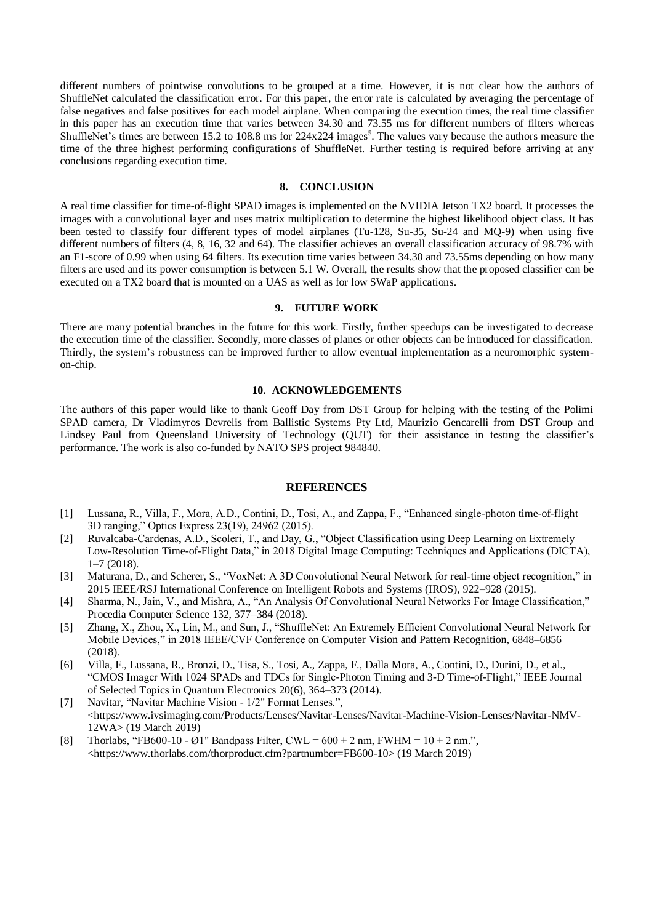different numbers of pointwise convolutions to be grouped at a time. However, it is not clear how the authors of ShuffleNet calculated the classification error. For this paper, the error rate is calculated by averaging the percentage of false negatives and false positives for each model airplane. When comparing the execution times, the real time classifier in this paper has an execution time that varies between 34.30 and 73.55 ms for different numbers of filters whereas ShuffleNet's times are between 15.2 to 108.8 ms for  $224x224$  images<sup>5</sup>. The values vary because the authors measure the time of the three highest performing configurations of ShuffleNet. Further testing is required before arriving at any conclusions regarding execution time.

#### **8. CONCLUSION**

<span id="page-11-0"></span>A real time classifier for time-of-flight SPAD images is implemented on the NVIDIA Jetson TX2 board. It processes the images with a convolutional layer and uses matrix multiplication to determine the highest likelihood object class. It has been tested to classify four different types of model airplanes (Tu-128, Su-35, Su-24 and MQ-9) when using five different numbers of filters (4, 8, 16, 32 and 64). The classifier achieves an overall classification accuracy of 98.7% with an F1-score of 0.99 when using 64 filters. Its execution time varies between 34.30 and 73.55ms depending on how many filters are used and its power consumption is between 5.1 W. Overall, the results show that the proposed classifier can be executed on a TX2 board that is mounted on a UAS as well as for low SWaP applications.

## **9. FUTURE WORK**

There are many potential branches in the future for this work. Firstly, further speedups can be investigated to decrease the execution time of the classifier. Secondly, more classes of planes or other objects can be introduced for classification. Thirdly, the system's robustness can be improved further to allow eventual implementation as a neuromorphic systemon-chip.

## **10. ACKNOWLEDGEMENTS**

The authors of this paper would like to thank Geoff Day from DST Group for helping with the testing of the Polimi SPAD camera, Dr Vladimyros Devrelis from Ballistic Systems Pty Ltd, Maurizio Gencarelli from DST Group and Lindsey Paul from Queensland University of Technology (QUT) for their assistance in testing the classifier's performance. The work is also co-funded by NATO SPS project 984840.

# **REFERENCES**

- [1] Lussana, R., Villa, F., Mora, A.D., Contini, D., Tosi, A., and Zappa, F., "Enhanced single-photon time-of-flight 3D ranging," Optics Express 23(19), 24962 (2015).
- [2] Ruvalcaba-Cardenas, A.D., Scoleri, T., and Day, G., "Object Classification using Deep Learning on Extremely Low-Resolution Time-of-Flight Data," in 2018 Digital Image Computing: Techniques and Applications (DICTA), 1–7 (2018).
- [3] Maturana, D., and Scherer, S., "VoxNet: A 3D Convolutional Neural Network for real-time object recognition," in 2015 IEEE/RSJ International Conference on Intelligent Robots and Systems (IROS), 922–928 (2015).
- [4] Sharma, N., Jain, V., and Mishra, A., "An Analysis Of Convolutional Neural Networks For Image Classification," Procedia Computer Science 132, 377–384 (2018).
- [5] Zhang, X., Zhou, X., Lin, M., and Sun, J., "ShuffleNet: An Extremely Efficient Convolutional Neural Network for Mobile Devices," in 2018 IEEE/CVF Conference on Computer Vision and Pattern Recognition, 6848–6856 (2018).
- [6] Villa, F., Lussana, R., Bronzi, D., Tisa, S., Tosi, A., Zappa, F., Dalla Mora, A., Contini, D., Durini, D., et al., "CMOS Imager With 1024 SPADs and TDCs for Single-Photon Timing and 3-D Time-of-Flight," IEEE Journal of Selected Topics in Quantum Electronics 20(6), 364–373 (2014).
- [7] Navitar, "Navitar Machine Vision 1/2" Format Lenses.", <https://www.ivsimaging.com/Products/Lenses/Navitar-Lenses/Navitar-Machine-Vision-Lenses/Navitar-NMV-12WA> (19 March 2019)
- [8] Thorlabs, "FB600-10 Ø1" Bandpass Filter, CWL =  $600 \pm 2$  nm, FWHM =  $10 \pm 2$  nm.", <https://www.thorlabs.com/thorproduct.cfm?partnumber=FB600-10> (19 March 2019)